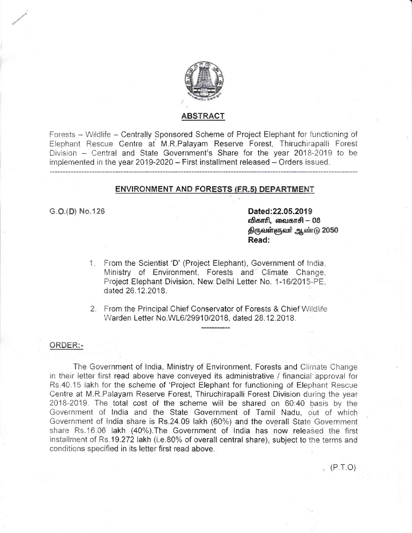

#### **ABSTRACT**

Forests - Wildlife - Centrally Sponsored Scheme of Project Elephant for functioning of Elephant Rescue Centre at M.R.Palayam Reserve Forest, Thiruchirapalli Forest Division - Central and State Government's Share for the year 2018-2019 to be implemented in the year 2019-2020 - First installment released - Orders issued.

#### **ENVIRONMENT AND FORESTS (FR.5) DEPARTMENT**

G.O.(D) No.126

Dated:22.05.2019 விகாரி, வைகாசி – 08 திருவள்ளுவர் ஆண்டு 2050 Read:

 $( P.T.O )$ 

- 1. From the Scientist 'D' (Project Elephant), Government of India, Ministry of Environment, Forests and Climate Change, Project Elephant Division, New Delhi Letter No. 1-16/2015-PE. dated 26.12.2018.
- 2. From the Principal Chief Conservator of Forests & Chief Wildlife Warden Letter No.WL6/29910/2018, dated 28.12.2018.

#### ORDER:-

The Government of India, Ministry of Environment, Forests and Climate Change in their letter first read above have conveyed its administrative / financial approval for Rs.40.15 lakh for the scheme of 'Project Elephant for functioning of Elephant Rescue Centre at M.R.Palayam Reserve Forest, Thiruchirapalli Forest Division during the year 2018-2019. The total cost of the scheme will be shared on 60:40 basis by the Government of India and the State Government of Tamil Nadu, out of which Government of India share is Rs.24.09 lakh (60%) and the overall State Government share Rs.16.06 lakh (40%). The Government of India has now released the first installment of Rs.19.272 lakh (i.e.80% of overall central share), subject to the terms and conditions specified in its letter first read above.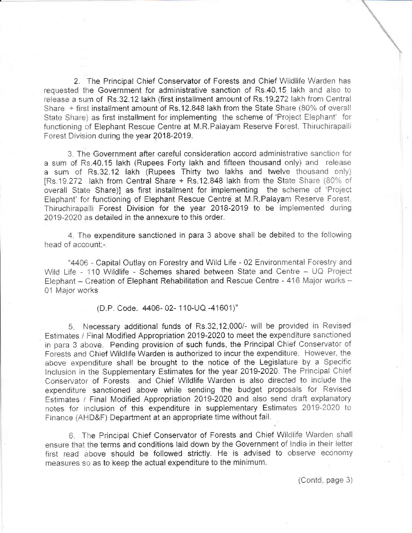2. The Principal Chief Conservator of Forests and Chief Wildlife Warden has requested the Government for administrative sanction of Rs.40.15 lakh and also to release a sum of Rs.32.12 lakh (first installment amount of Rs.19.272 lakh from Central Share  $+$  first installment amount of Rs.12.848 lakh from the State Share (80% of overall State Share) as first installment for implementing the scheme of 'Project Elephant' for functioning of Elephant Rescue Centre at M.R.Palayam Reserve Forest, Thiruchirapalli Forest Division during the year 2018-2019.

3. The Government after careful consideration accord administrative sanction for a sum of Rs.40.15 lakh (Rupees Forty lakh and fifteen thousand only) and release a sum of Rs.32.12 lakh (Rupees Thirty two lakhs and twelve thousand only) IRs.19.272 lakh from Central Share + Rs.12.848 lakh from the State Share (80% of overall State Share)] as first installment for implementing the scheme of 'Project Elephant' for functioning of Elephant Rescue Centre at M.R.Palayam Reserve Forest. Thiruchirapalli Forest Division for the year 2018-2019 to be implemented during 2019-2020 as detailed in the annexure to this order.

4. The expenditure sanctioned in para 3 above shall be debited to the following head of account:-

"4406 - Capital Outlay on Forestry and Wild Life - 02 Environmental Forestry and Wild Life - 110 Wildlife - Schemes shared between State and Centre - UQ Project Elephant - Creation of Elephant Rehabilitation and Rescue Centre - 416 Major works -01 Major works

(D.P. Code. 4406-02-110-UQ-41601)"

5. Necessary additional funds of Rs.32,12,000/- will be provided in Revised Estimates / Final Modified Appropriation 2019-2020 to meet the expenditure sanctioned in para 3 above. Pending provision of such funds, the Principal Chief Conservator of Forests and Chief Wildlife Warden is authorized to incur the expenditure. However, the above expenditure shall be brought to the notice of the Legislature by a Specific Inclusion in the Supplementary Estimates for the year 2019-2020. The Principal Chief Conservator of Forests and Chief Wildlife Warden is also directed to include the expenditure sanctioned above while sending the budget proposals for Revised Estimates / Final Modified Appropriation 2019-2020 and also send draft explanatory notes for inclusion of this expenditure in supplementary Estimates 2019-2020 to Finance (AHD&F) Department at an appropriate time without fail.

6. The Principal Chief Conservator of Forests and Chief Wildlife Warden shall ensure that the terms and conditions laid down by the Government of India in their letter first read above should be followed strictly. He is advised to observe economy measures so as to keep the actual expenditure to the minimum.

(Contd, page 3)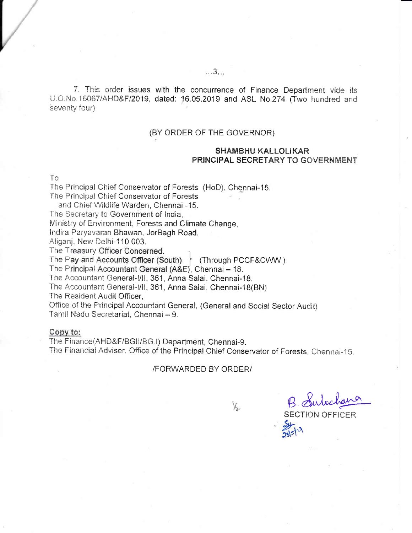7. This order issues with the concurrence of Finance Department vide its U.O.No.16067/AHD&F/2019, dated: 16.05.2019 and ASL No.274 (Two hundred and seventy four)

#### (BY ORDER OF THE GOVERNOR)

#### **SHAMBHU KALLOLIKAR PRINCIPAL SECRETARY TO GOVERNMENT**

To

The Principal Chief Conservator of Forests (HoD), Chennai-15.

The Principal Chief Conservator of Forests

and Chief Wildlife Warden, Chennai -15.

The Secretary to Government of India,

Ministry of Environment, Forests and Climate Change,

Indira Paryavaran Bhawan, JorBagh Road,

Aligani, New Delhi-110 003.

The Treasury Officer Concerned.

The Pay and Accounts Officer (South)  $\left\{ \right.$  (Through PCCF&CWW)

The Principal Accountant General (A&E), Chennai - 18.

The Accountant General-I/II, 361, Anna Salai, Chennai-18,

The Accountant General-I/II, 361, Anna Salai, Chennai-18(BN)

The Resident Audit Officer.

Office of the Principal Accountant General, (General and Social Sector Audit) Tamil Nadu Secretariat, Chennai - 9.

#### Copy to:

The Finance(AHD&F/BGII/BG.I) Department, Chennai-9.

The Financial Adviser, Office of the Principal Chief Conservator of Forests, Chennai-15.

#### /FORWARDED BY ORDER/

 $V_{\rm h}$ 

B. Suloc **SECTION OFFICER**